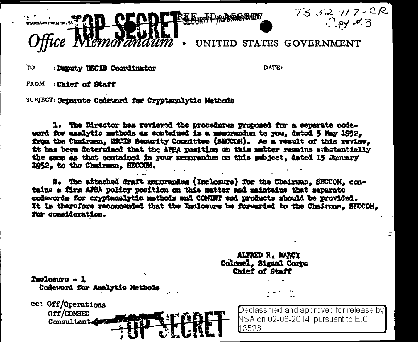

 $T552772CR$  $2$ py  $\neq 3$ 

UNITED STATES GOVERNMENT

TΩ : Deputy USCIB Coordinator DATR:

ALFRED B. MARCY

mal Corps **Staff** 

FROM : Chief of Staff

Consultant

SUBJECT: Separate Codeword for Cryptanalytic Methods

1. The Director has reviewed the procedures proposed for a separate codeword for enalytic methods as contained in a memorandum to you, dated 5 May 1952, from the Chairman, USCIB Security Committee (SECCOM). As a regult of this review, it has been determined that the AFEA position on this matter remains substantially the same as that contained in your memorandum on this subject, dated 15 January 1952, to the Chairman, SECCOM.

#. The attached draft memorandum (Inclosure) for the Chairman, SECCOH, contains a firm AFSA policy position on this matter and maintains that separate endewords for cryptanalytic methods and COMINT end products should be provided. It is therefore recommended that the Inclosure be forwarded to the Chairman. SECCOH. for consideration.

| Inclosure $-1$<br>Codeword for Analytic Methods |                                      | Colonel, Bi<br>Chief of |  |
|-------------------------------------------------|--------------------------------------|-------------------------|--|
| cc: Off/Operations<br>Off/COMSEC                | OR ANDREW A REAL AND SIDE SIMILAR TO | Declass                 |  |

sified and approved for release by NSA on 02-06-2014 pursuant to E.O. h3526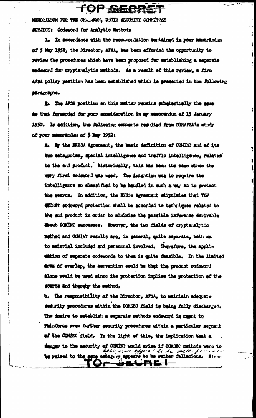MUNRANDAM FOR THE CHARACTER USED SECURITY CONSULTER SURJECT: Codeword for Analytic Mathods

L. In accordance with the recommendation empaired in your manufantum of 5 May 1952, the Director, AFSA, has been afforded the opportunity to review the procedures which have been proposed for establishing a separate emdeword for crypteralytic methods. As a result of this review, a firm AFSA policy pesition has been established which is presented in the following paragrapha.

TOP GECRET

for the AFCA position on this matter remains substantially the same as that forwarded for your sonsideration in my munorandum af 15 January. 1952. In addition, the following comments resulted from DIRAPSA's study of your numerations of 5 May 1952:

a. By the BRUSA Agreement, the basic definition of COMBIT and of its ten estegorise, spocial intelligence and traffic intelligence, relates to the end product. Historically, this has been the ease since the way first codeword was used. The intention was to require the intelligence so elessified to be handled in such a way as to protect the source. In addition, the ERUSA Agreement stipulates that TOP MUCHET codeword protection shall be accorded to techniques related to the end product in arder to sunising the possible inference derivable shout COCINT successes. However, the two fields of oryptanalytic muthod and COMINT results are, in general, quite meparate, both as to material included and personnel involved. Therefore, the appliunidon of superate codewords to them is guite femaible. In the limited drum of everlap, the servention could be that the product codeword alone would be used since its protection implies the protection of the source and thereby the sethod.

b. The responsibility of the Director, AFSA, to saintain adequate seturity precedures within the COMSEC field is being fully discharged. The desire to establish a separate methods endeanyd is magnt to Whinforce even further security procedures within a particular segment of the COMSEC field. In the light of this, the implication that a danger to the security of CONDN't would arise if CONSEC methods were to ses nor appear to be well form be raised to the ages estegory appears to be rather fallscious. Since <del>ᢒᢄᢦᢪ᠓</del>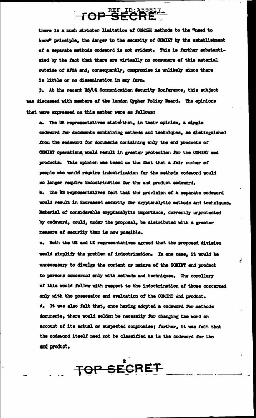## **TOP SECRE**

there is a much stricter limitation of COMSEC methods to the "need to know" principle, the danger to the mecurity of COMINT by the establishment of a separate methods codeword is not evident. This is further substantiated by the fact that there are virtually no consumers of this material outside of AFSA and, consequently, compromise is unlikely since there is little or no dissemination in any form.

3. At the recent US/UK Communication Security Conference, this subject was discussed with members of the London Cypher Policy Beard. The opinions that were expressed on this matter were as follows:

a. The UK representatives state that, in their opinion, a single codeword fer documents sontaining methods and techniques, as distinguished from the codeword for decuments containing enly the end products of COMINT operations, would result in greater protection for the COMINT end products. This opinion was based on the fact that a fair musber of people who would require indoctrination for the methods codeword would no longer require indoctrination for the end product codeword. b. The US representatives felt that the provision of a separate codeword would result in increased security for oryptanalytic methods and techniques. Material of considerable cryptanalytic importance, currently unprotected by codeword, could, under the proposal, be distributed with a greater measure of security than is now possible.

c. Both the US and UK representatives agreed that the proposed divisien would simplify the problem of indoctrination. In one case, it would be unnecessary to divulge the content or nature of the COMINT end product to persons concerned only with methods and techniques. The corollary of this would follow with respect to the indoctrination of those concerned enly with the possession and evaluation of the CCMINT end product. d. It was also felt that, once having adopted a codeword for methods decuments, there would seldom be necessity for changing the word on account of its actual or suspected compromise; further, it was falt that the codeword itself need not be classified as is the codeword for the and product.

TOP SECRET

 $\ddot{ }$